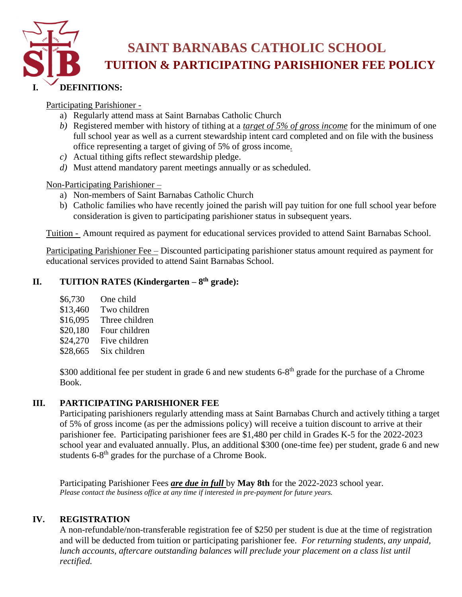

Participating Parishioner -

- a) Regularly attend mass at Saint Barnabas Catholic Church
- *b)* Registered member with history of tithing at a *target of 5% of gross income* for the minimum of one full school year as well as a current stewardship intent card completed and on file with the business office representing a target of giving of 5% of gross income*.*
- *c)* Actual tithing gifts reflect stewardship pledge.
- *d)* Must attend mandatory parent meetings annually or as scheduled.

#### Non-Participating Parishioner –

- a) Non-members of Saint Barnabas Catholic Church
- b) Catholic families who have recently joined the parish will pay tuition for one full school year before consideration is given to participating parishioner status in subsequent years.

Tuition - Amount required as payment for educational services provided to attend Saint Barnabas School.

Participating Parishioner Fee – Discounted participating parishioner status amount required as payment for educational services provided to attend Saint Barnabas School.

# **II. TUITION RATES (Kindergarten – 8 th grade):**

\$6,730 One child \$13,460 Two children \$16,095 Three children \$20,180 Four children \$24,270 Five children \$28,665 Six children

\$300 additional fee per student in grade 6 and new students 6-8<sup>th</sup> grade for the purchase of a Chrome Book.

# **III. PARTICIPATING PARISHIONER FEE**

Participating parishioners regularly attending mass at Saint Barnabas Church and actively tithing a target of 5% of gross income (as per the admissions policy) will receive a tuition discount to arrive at their parishioner fee. Participating parishioner fees are \$1,480 per child in Grades K-5 for the 2022-2023 school year and evaluated annually. Plus, an additional \$300 (one-time fee) per student, grade 6 and new students 6-8<sup>th</sup> grades for the purchase of a Chrome Book.

Participating Parishioner Fees *are due in full* by **May 8th** for the 2022-2023 school year. *Please contact the business office at any time if interested in pre-payment for future years.*

# **IV. REGISTRATION**

A non-refundable/non-transferable registration fee of \$250 per student is due at the time of registration and will be deducted from tuition or participating parishioner fee. *For returning students, any unpaid, lunch accounts, aftercare outstanding balances will preclude your placement on a class list until rectified.*